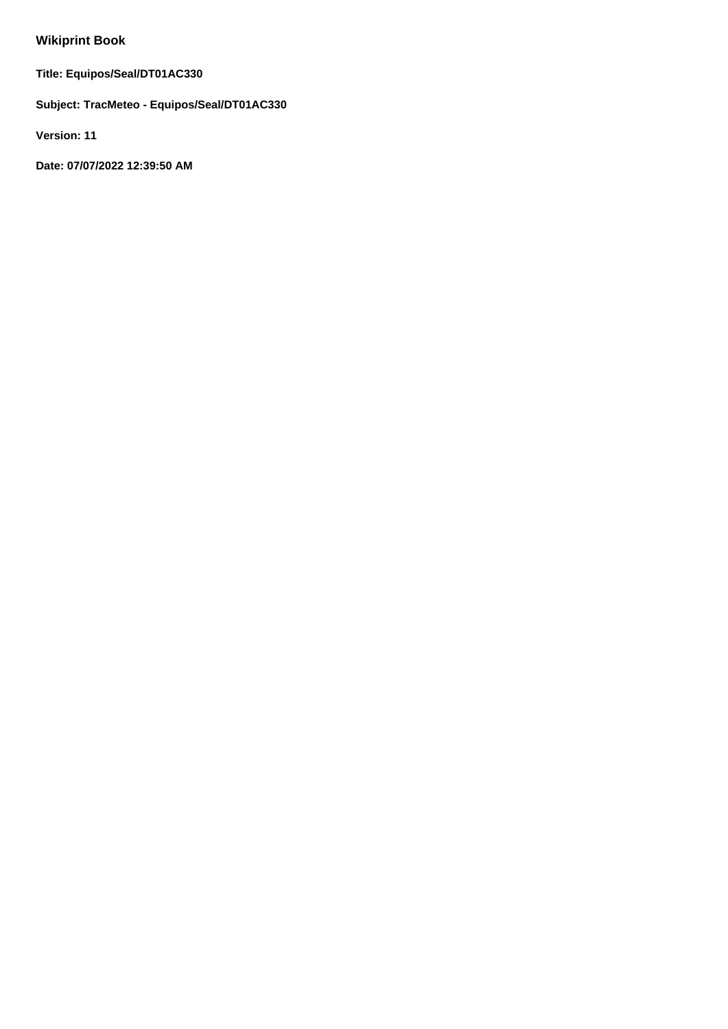# **Wikiprint Book**

**Title: Equipos/Seal/DT01AC330**

**Subject: TracMeteo - Equipos/Seal/DT01AC330**

**Version: 11**

**Date: 07/07/2022 12:39:50 AM**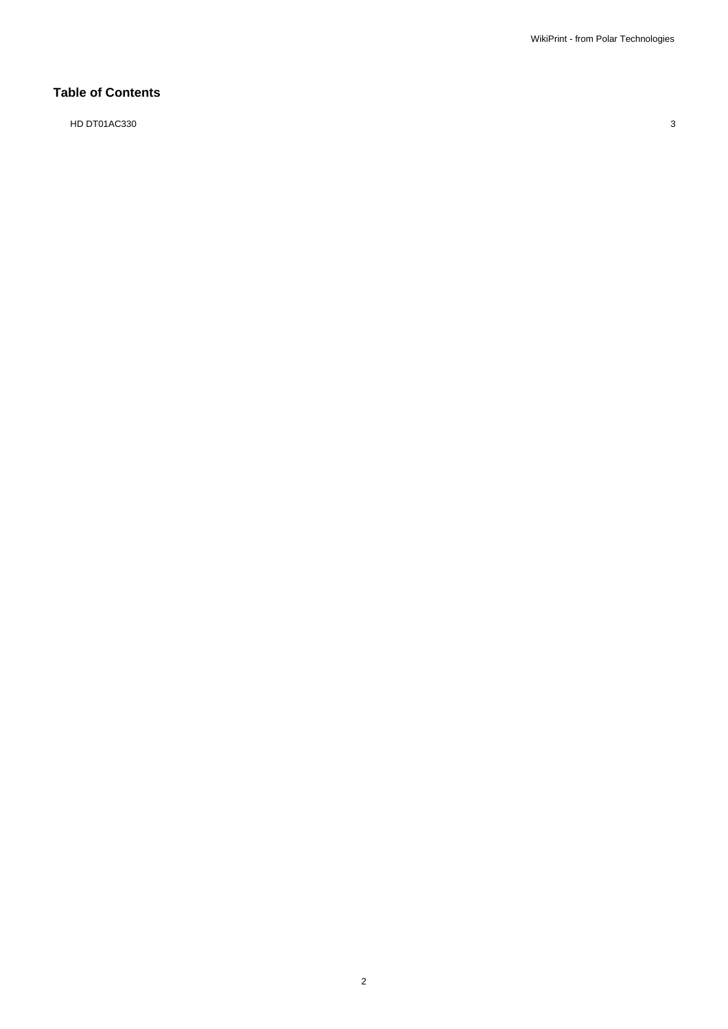# **Table of Contents**

HD DT01AC330 3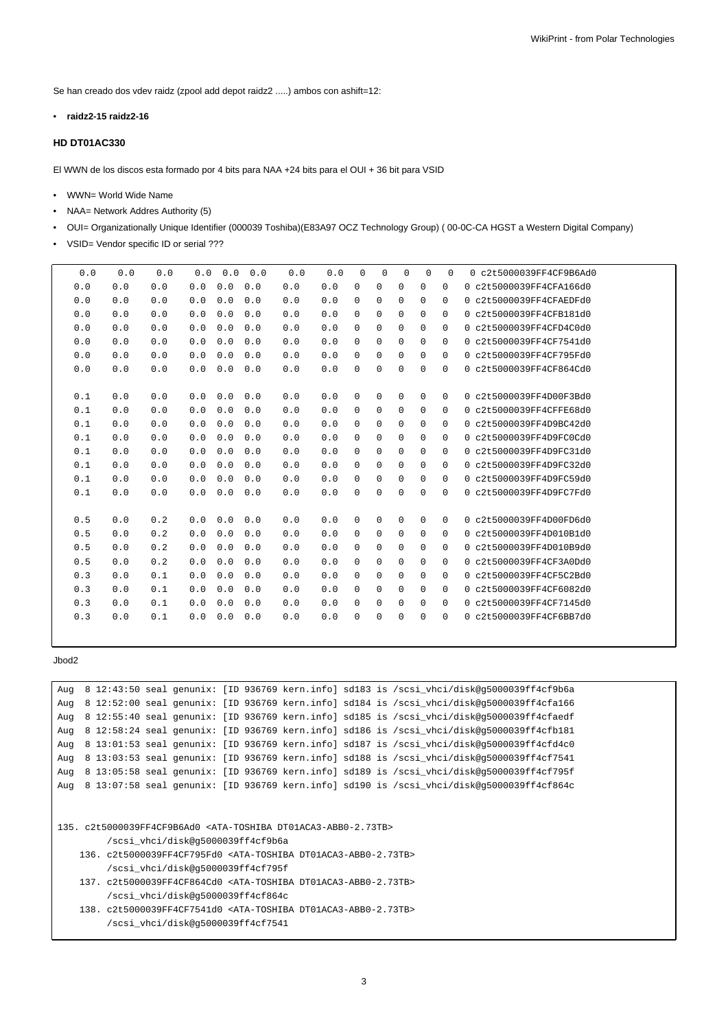Se han creado dos vdev raidz (zpool add depot raidz2 .....) ambos con ashift=12:

• **raidz2-15 raidz2-16**

## **HD DT01AC330**

El WWN de los discos esta formado por 4 bits para NAA +24 bits para el OUI + 36 bit para VSID

- WWN= World Wide Name
- NAA= Network Addres Authority (5)
- OUI= Organizationally Unique Identifier (000039 Toshiba)(E83A97 OCZ Technology Group) ( 00-0C-CA HGST a Western Digital Company)
- VSID= Vendor specific ID or serial ???

| 0.0 | 0.0 | 0.0 | 0.0 | 0.0 | 0.0 | 0.0 | 0.0 | $\Omega$    | 0           | $\Omega$    | $\Omega$    | $\Omega$    | 0 c2t5000039FF4CF9B6Ad0 |
|-----|-----|-----|-----|-----|-----|-----|-----|-------------|-------------|-------------|-------------|-------------|-------------------------|
| 0.0 | 0.0 | 0.0 | 0.0 | 0.0 | 0.0 | 0.0 | 0.0 | $\mathbf 0$ | 0           | 0           | 0           | 0           | 0 c2t5000039FF4CFA166d0 |
| 0.0 | 0.0 | 0.0 | 0.0 | 0.0 | 0.0 | 0.0 | 0.0 | $\mathbf 0$ | 0           | 0           | 0           | $\mathbf 0$ | 0c2t5000039FF4CFAFDFd0  |
| 0.0 | 0.0 | 0.0 | 0.0 | 0.0 | 0.0 | 0.0 | 0.0 | $\mathbf 0$ | $\mathbf 0$ | 0           | $\mathbf 0$ | 0           | 0 c2t5000039FF4CFB181d0 |
| 0.0 | 0.0 | 0.0 | 0.0 | 0.0 | 0.0 | 0.0 | 0.0 | $\Omega$    | 0           | $\Omega$    | $\Omega$    | $\mathbf 0$ | 0 c2t5000039FF4CFD4C0d0 |
| 0.0 | 0.0 | 0.0 | 0.0 | 0.0 | 0.0 | 0.0 | 0.0 | $\Omega$    | $\mathbf 0$ | 0           | 0           | 0           | 0 c2t5000039FF4CF7541d0 |
| 0.0 | 0.0 | 0.0 | 0.0 | 0.0 | 0.0 | 0.0 | 0.0 | 0           | $\mathbf 0$ | $\mathbf 0$ | 0           | $\mathbf 0$ | 0 c2t5000039FF4CF795Fd0 |
| 0.0 | 0.0 | 0.0 | 0.0 | 0.0 | 0.0 | 0.0 | 0.0 | $\Omega$    | 0           | 0           | $\Omega$    | 0           | 0 c2t5000039FF4CF864Cd0 |
|     |     |     |     |     |     |     |     |             |             |             |             |             |                         |
| 0.1 | 0.0 | 0.0 | 0.0 | 0.0 | 0.0 | 0.0 | 0.0 | $\mathbf 0$ | $\mathbf 0$ | $\mathbf 0$ | $\mathbf 0$ | $\mathbf 0$ | 0 c2t5000039FF4D00F3Bd0 |
| 0.1 | 0.0 | 0.0 | 0.0 | 0.0 | 0.0 | 0.0 | 0.0 | $\mathbf 0$ | $\mathsf 0$ | $\mathbf 0$ | 0           | 0           | 0 c2t5000039FF4CFFE68d0 |
| 0.1 | 0.0 | 0.0 | 0.0 | 0.0 | 0.0 | 0.0 | 0.0 | $\Omega$    | 0           | 0           | $\Omega$    | $\mathbf 0$ | 0 c2t5000039FF4D9BC42d0 |
| 0.1 | 0.0 | 0.0 | 0.0 | 0.0 | 0.0 | 0.0 | 0.0 | $\mathbf 0$ | 0           | 0           | 0           | $\mathbf 0$ | 0 c2t5000039FF4D9FC0Cd0 |
| 0.1 | 0.0 | 0.0 | 0.0 | 0.0 | 0.0 | 0.0 | 0.0 | $\mathbf 0$ | $\mathbf 0$ | $\mathbf 0$ | 0           | 0           | 0 c2t5000039FF4D9FC31d0 |
| 0.1 | 0.0 | 0.0 | 0.0 | 0.0 | 0.0 | 0.0 | 0.0 | $\Omega$    | 0           | $\mathbf 0$ | 0           | $\mathbf 0$ | 0 c2t5000039FF4D9FC32d0 |
| 0.1 | 0.0 | 0.0 | 0.0 | 0.0 | 0.0 | 0.0 | 0.0 | $\Omega$    | 0           | 0           | $\Omega$    | 0           | 0 c2t5000039FF4D9FC59d0 |
| 0.1 | 0.0 | 0.0 | 0.0 | 0.0 | 0.0 | 0.0 | 0.0 | 0           | 0           | $\mathbf 0$ | $\Omega$    | 0           | 0 c2t5000039FF4D9FC7Fd0 |
|     |     |     |     |     |     |     |     |             |             |             |             |             |                         |
| 0.5 | 0.0 | 0.2 | 0.0 | 0.0 | 0.0 | 0.0 | 0.0 | $\mathbf 0$ | 0           | 0           | 0           | 0           | 0 c2t5000039FF4D00FD6d0 |
| 0.5 | 0.0 | 0.2 | 0.0 | 0.0 | 0.0 | 0.0 | 0.0 | $\mathbf 0$ | $\mathbf 0$ | $\mathbf 0$ | 0           | $\mathbf 0$ | 0 c2t5000039FF4D010B1d0 |
| 0.5 | 0.0 | 0.2 | 0.0 | 0.0 | 0.0 | 0.0 | 0.0 | 0           | $\mathbf 0$ | 0           | 0           | 0           | 0 c2t5000039FF4D010B9d0 |
| 0.5 | 0.0 | 0.2 | 0.0 | 0.0 | 0.0 | 0.0 | 0.0 | $\Omega$    | $\mathbf 0$ | $\mathbf 0$ | $\Omega$    | $\mathbf 0$ | 0 c2t5000039FF4CF3A0Dd0 |
| 0.3 | 0.0 | 0.1 | 0.0 | 0.0 | 0.0 | 0.0 | 0.0 | $\Omega$    | 0           | 0           | $\Omega$    | $\mathbf 0$ | 0 c2t5000039FF4CF5C2Bd0 |
| 0.3 | 0.0 | 0.1 | 0.0 | 0.0 | 0.0 | 0.0 | 0.0 | 0           | 0           | 0           | 0           | $\mathbf 0$ | 0 c2t5000039FF4CF6082d0 |
| 0.3 | 0.0 | 0.1 | 0.0 | 0.0 | 0.0 | 0.0 | 0.0 | $\mathbf 0$ | 0           | 0           | 0           | $\mathbf 0$ | 0 c2t5000039FF4CF7145d0 |
| 0.3 | 0.0 | 0.1 | 0.0 | 0.0 | 0.0 | 0.0 | 0.0 | $\Omega$    | 0           | $\Omega$    | $\Omega$    | $\Omega$    | 0 c2t5000039FF4CF6BB7d0 |
|     |     |     |     |     |     |     |     |             |             |             |             |             |                         |

### Jbod2

```
Aug 8 12:43:50 seal genunix: [ID 936769 kern.info] sd183 is /scsi_vhci/disk@g5000039ff4cf9b6a
Aug 8 12:52:00 seal genunix: [ID 936769 kern.info] sd184 is /scsi_vhci/disk@g5000039ff4cfa166
Aug 8 12:55:40 seal genunix: [ID 936769 kern.info] sd185 is /scsi_vhci/disk@g5000039ff4cfaedf
Aug 8 12:58:24 seal genunix: [ID 936769 kern.info] sd186 is /scsi_vhci/disk@g5000039ff4cfb181
Aug 8 13:01:53 seal genunix: [ID 936769 kern.info] sd187 is /scsi vhci/disk@g5000039ff4cfd4c0
Aug 8 13:03:53 seal genunix: [ID 936769 kern.info] sd188 is /scsi_vhci/disk@g5000039ff4cf7541
Aug 8 13:05:58 seal genunix: [ID 936769 kern.info] sd189 is /scsi_vhci/disk@g5000039ff4cf795f
Aug 8 13:07:58 seal genunix: [ID 936769 kern.info] sd190 is /scsi_vhci/disk@g5000039ff4cf864c
```

```
135. c2t5000039FF4CF9B6Ad0 <ATA-TOSHIBA DT01ACA3-ABB0-2.73TB>
        /scsi_vhci/disk@g5000039ff4cf9b6a
```

```
136. c2t5000039FF4CF795Fd0 <ATA-TOSHIBA DT01ACA3-ABB0-2.73TB>
    /scsi_vhci/disk@g5000039ff4cf795f
```

```
137. c2t5000039FF4CF864Cd0 <ATA-TOSHIBA DT01ACA3-ABB0-2.73TB>
    /scsi_vhci/disk@g5000039ff4cf864c
```

```
138. c2t5000039FF4CF7541d0 <ATA-TOSHIBA DT01ACA3-ABB0-2.73TB>
     /scsi_vhci/disk@g5000039ff4cf7541
```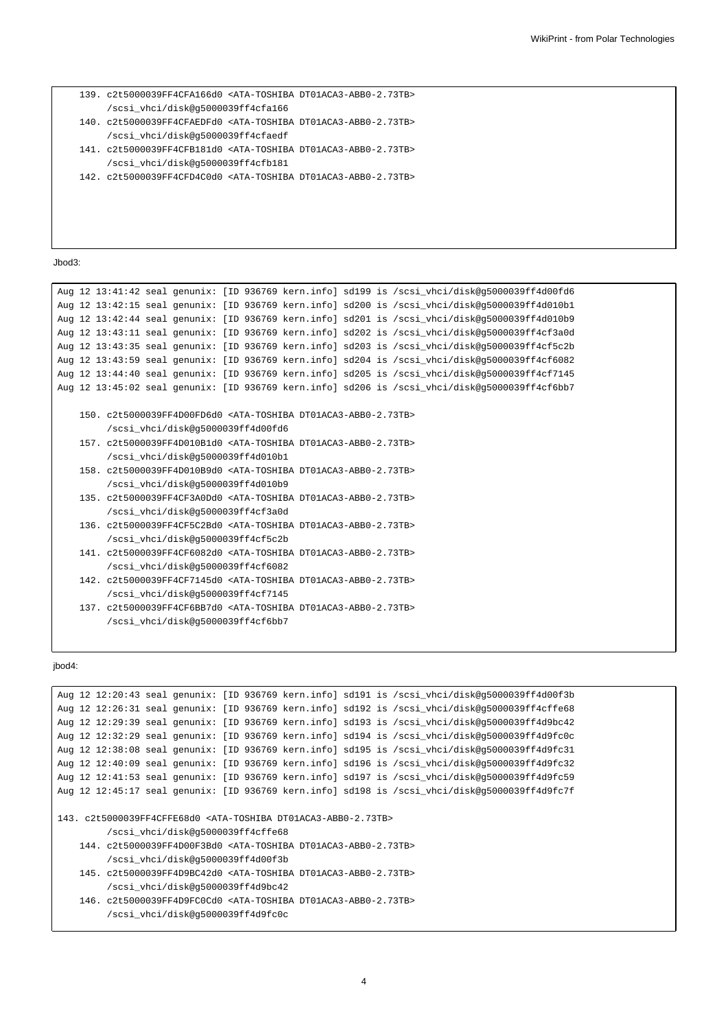```
139. c2t5000039FF4CFA166d0 <ATA-TOSHIBA DT01ACA3-ABB0-2.73TB>
     /scsi_vhci/disk@g5000039ff4cfa166
140. c2t5000039FF4CFAEDFd0 <ATA-TOSHIBA DT01ACA3-ABB0-2.73TB>
     /scsi_vhci/disk@g5000039ff4cfaedf
141. c2t5000039FF4CFB181d0 <ATA-TOSHIBA DT01ACA3-ABB0-2.73TB>
     /scsi_vhci/disk@g5000039ff4cfb181
142. c2t5000039FF4CFD4C0d0 <ATA-TOSHIBA DT01ACA3-ABB0-2.73TB>
```
Jbod3:

```
Aug 12 13:41:42 seal genunix: [ID 936769 kern.info] sd199 is /scsi_vhci/disk@g5000039ff4d00fd6
Aug 12 13:42:15 seal genunix: [ID 936769 kern.info] sd200 is /scsi_vhci/disk@g5000039ff4d010b1
Aug 12 13:42:44 seal genunix: [ID 936769 kern.info] sd201 is /scsi_vhci/disk@g5000039ff4d010b9
Aug 12 13:43:11 seal genunix: [ID 936769 kern.info] sd202 is /scsi_vhci/disk@g5000039ff4cf3a0d
Aug 12 13:43:35 seal genunix: [ID 936769 kern.info] sd203 is /scsi_vhci/disk@g5000039ff4cf5c2b
Aug 12 13:43:59 seal genunix: [ID 936769 kern.info] sd204 is /scsi_vhci/disk@g5000039ff4cf6082
Aug 12 13:44:40 seal genunix: [ID 936769 kern.info] sd205 is /scsi_vhci/disk@g5000039ff4cf7145
Aug 12 13:45:02 seal genunix: [ID 936769 kern.info] sd206 is /scsi_vhci/disk@g5000039ff4cf6bb7
    150. c2t5000039FF4D00FD6d0 <ATA-TOSHIBA DT01ACA3-ABB0-2.73TB>
         /scsi_vhci/disk@g5000039ff4d00fd6
    157. c2t5000039FF4D010B1d0 <ATA-TOSHIBA DT01ACA3-ABB0-2.73TB>
         /scsi_vhci/disk@g5000039ff4d010b1
    158. c2t5000039FF4D010B9d0 <ATA-TOSHIBA DT01ACA3-ABB0-2.73TB>
         /scsi_vhci/disk@g5000039ff4d010b9
    135. c2t5000039FF4CF3A0Dd0 <ATA-TOSHIBA DT01ACA3-ABB0-2.73TB>
         /scsi_vhci/disk@g5000039ff4cf3a0d
    136. c2t5000039FF4CF5C2Bd0 <ATA-TOSHIBA DT01ACA3-ABB0-2.73TB>
         /scsi_vhci/disk@g5000039ff4cf5c2b
    141. c2t5000039FF4CF6082d0 <ATA-TOSHIBA DT01ACA3-ABB0-2.73TB>
         /scsi_vhci/disk@g5000039ff4cf6082
    142. c2t5000039FF4CF7145d0 <ATA-TOSHIBA DT01ACA3-ABB0-2.73TB>
         /scsi_vhci/disk@g5000039ff4cf7145
    137. c2t5000039FF4CF6BB7d0 <ATA-TOSHIBA DT01ACA3-ABB0-2.73TB>
         /scsi_vhci/disk@g5000039ff4cf6bb7
```
#### jbod4:

```
Aug 12 12:20:43 seal genunix: [ID 936769 kern.info] sd191 is /scsi_vhci/disk@g5000039ff4d00f3b
Aug 12 12:26:31 seal genunix: [ID 936769 kern.info] sd192 is /scsi_vhci/disk@g5000039ff4cffe68
Aug 12 12:29:39 seal genunix: [ID 936769 kern.info] sd193 is /scsi_vhci/disk@g5000039ff4d9bc42
Aug 12 12:32:29 seal genunix: [ID 936769 kern.info] sd194 is /scsi_vhci/disk@g5000039ff4d9fc0c
Aug 12 12:38:08 seal genunix: [ID 936769 kern.info] sd195 is /scsi_vhci/disk@g5000039ff4d9fc31
Aug 12 12:40:09 seal genunix: [ID 936769 kern.info] sd196 is /scsi_vhci/disk@g5000039ff4d9fc32
Aug 12 12:41:53 seal genunix: [ID 936769 kern.info] sd197 is /scsi_vhci/disk@g5000039ff4d9fc59
Aug 12 12:45:17 seal genunix: [ID 936769 kern.info] sd198 is /scsi_vhci/disk@g5000039ff4d9fc7f
143. c2t5000039FF4CFFE68d0 <ATA-TOSHIBA DT01ACA3-ABB0-2.73TB>
        /scsi_vhci/disk@g5000039ff4cffe68
    144. c2t5000039FF4D00F3Bd0 <ATA-TOSHIBA DT01ACA3-ABB0-2.73TB>
        /scsi_vhci/disk@g5000039ff4d00f3b
    145. c2t5000039FF4D9BC42d0 <ATA-TOSHIBA DT01ACA3-ABB0-2.73TB>
        /scsi_vhci/disk@g5000039ff4d9bc42
    146. c2t5000039FF4D9FC0Cd0 <ATA-TOSHIBA DT01ACA3-ABB0-2.73TB>
         /scsi_vhci/disk@g5000039ff4d9fc0c
```